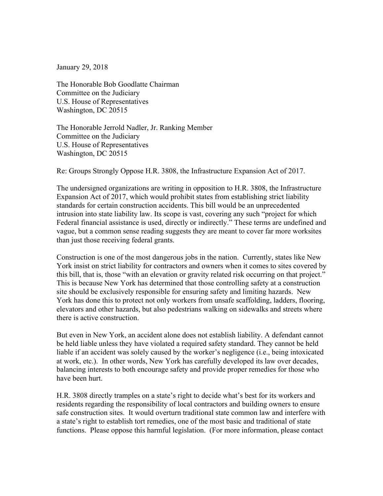January 29, 2018

The Honorable Bob Goodlatte Chairman Committee on the Judiciary U.S. House of Representatives Washington, DC 20515

The Honorable Jerrold Nadler, Jr. Ranking Member Committee on the Judiciary U.S. House of Representatives Washington, DC 20515

Re: Groups Strongly Oppose H.R. 3808, the Infrastructure Expansion Act of 2017.

The undersigned organizations are writing in opposition to H.R. 3808, the Infrastructure Expansion Act of 2017, which would prohibit states from establishing strict liability standards for certain construction accidents. This bill would be an unprecedented intrusion into state liability law. Its scope is vast, covering any such "project for which Federal financial assistance is used, directly or indirectly." These terms are undefined and vague, but a common sense reading suggests they are meant to cover far more worksites than just those receiving federal grants.

Construction is one of the most dangerous jobs in the nation. Currently, states like New York insist on strict liability for contractors and owners when it comes to sites covered by this bill, that is, those "with an elevation or gravity related risk occurring on that project." This is because New York has determined that those controlling safety at a construction site should be exclusively responsible for ensuring safety and limiting hazards. New York has done this to protect not only workers from unsafe scaffolding, ladders, flooring, elevators and other hazards, but also pedestrians walking on sidewalks and streets where there is active construction.

But even in New York, an accident alone does not establish liability. A defendant cannot be held liable unless they have violated a required safety standard. They cannot be held liable if an accident was solely caused by the worker's negligence (i.e., being intoxicated at work, etc.). In other words, New York has carefully developed its law over decades, balancing interests to both encourage safety and provide proper remedies for those who have been hurt.

H.R. 3808 directly tramples on a state's right to decide what's best for its workers and residents regarding the responsibility of local contractors and building owners to ensure safe construction sites. It would overturn traditional state common law and interfere with a state's right to establish tort remedies, one of the most basic and traditional of state functions. Please oppose this harmful legislation. (For more information, please contact